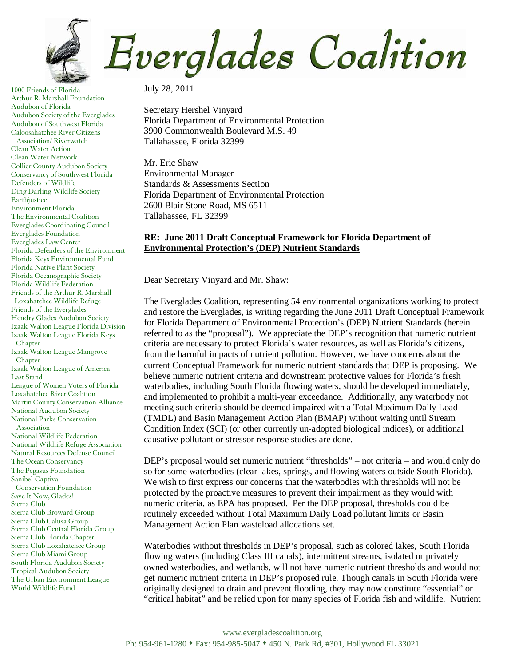

1000 Friends of Florida Arthur R. Marshall Foundation Audubon of Florida Audubon Society of the Everglades Audubon of Southwest Florida Caloosahatchee River Citizens Association/ Riverwatch Clean Water Action Clean Water Network Collier County Audubon Society Conservancy of Southwest Florida Defenders of Wildlife Ding Darling Wildlife Society Earthjustice Environment Florida The Environmental Coalition Everglades Coordinating Council Everglades Foundation Everglades Law Center Florida Defenders of the Environment Florida Keys Environmental Fund Florida Native Plant Society Florida Oceanographic Society Florida Wildlife Federation Friends of the Arthur R. Marshall Loxahatchee Wildlife Refuge Friends of the Everglades Hendry Glades Audubon Society Izaak Walton League Florida Division Izaak Walton League Florida Keys Chapter Izaak Walton League Mangrove Chapter Izaak Walton League of America Last Stand League of Women Voters of Florida Loxahatchee River Coalition Martin County Conservation Alliance National Audubon Society National Parks Conservation Association National Wildlife Federation National Wildlife Refuge Association Natural Resources Defense Council The Ocean Conservancy The Pegasus Foundation Sanibel-Captiva Conservation Foundation Save It Now, Glades! Sierra Club Sierra Club Broward Group Sierra Club Calusa Group Sierra Club Central Florida Group Sierra Club Florida Chapter Sierra Club Loxahatchee Group Sierra Club Miami Group South Florida Audubon Society Tropical Audubon Society The Urban Environment League World Wildlife Fund

July 28, 2011

Secretary Hershel Vinyard Florida Department of Environmental Protection 3900 Commonwealth Boulevard M.S. 49 Tallahassee, Florida 32399

Mr. Eric Shaw Environmental Manager Standards & Assessments Section Florida Department of Environmental Protection 2600 Blair Stone Road, MS 6511 Tallahassee, FL 32399

## **RE: June 2011 Draft Conceptual Framework for Florida Department of Environmental Protection's (DEP) Nutrient Standards**

Dear Secretary Vinyard and Mr. Shaw:

The Everglades Coalition, representing 54 environmental organizations working to protect and restore the Everglades, is writing regarding the June 2011 Draft Conceptual Framework for Florida Department of Environmental Protection's (DEP) Nutrient Standards (herein referred to as the "proposal"). We appreciate the DEP's recognition that numeric nutrient criteria are necessary to protect Florida's water resources, as well as Florida's citizens, from the harmful impacts of nutrient pollution. However, we have concerns about the current Conceptual Framework for numeric nutrient standards that DEP is proposing. We believe numeric nutrient criteria and downstream protective values for Florida's fresh waterbodies, including South Florida flowing waters, should be developed immediately, and implemented to prohibit a multi-year exceedance. Additionally, any waterbody not meeting such criteria should be deemed impaired with a Total Maximum Daily Load (TMDL) and Basin Management Action Plan (BMAP) without waiting until Stream Condition Index (SCI) (or other currently un-adopted biological indices), or additional causative pollutant or stressor response studies are done.

DEP's proposal would set numeric nutrient "thresholds" – not criteria – and would only do so for some waterbodies (clear lakes, springs, and flowing waters outside South Florida). We wish to first express our concerns that the waterbodies with thresholds will not be protected by the proactive measures to prevent their impairment as they would with numeric criteria, as EPA has proposed. Per the DEP proposal, thresholds could be routinely exceeded without Total Maximum Daily Load pollutant limits or Basin Management Action Plan wasteload allocations set.

Waterbodies without thresholds in DEP's proposal, such as colored lakes, South Florida flowing waters (including Class III canals), intermittent streams, isolated or privately owned waterbodies, and wetlands, will not have numeric nutrient thresholds and would not get numeric nutrient criteria in DEP's proposed rule. Though canals in South Florida were originally designed to drain and prevent flooding, they may now constitute "essential" or "critical habitat" and be relied upon for many species of Florida fish and wildlife. Nutrient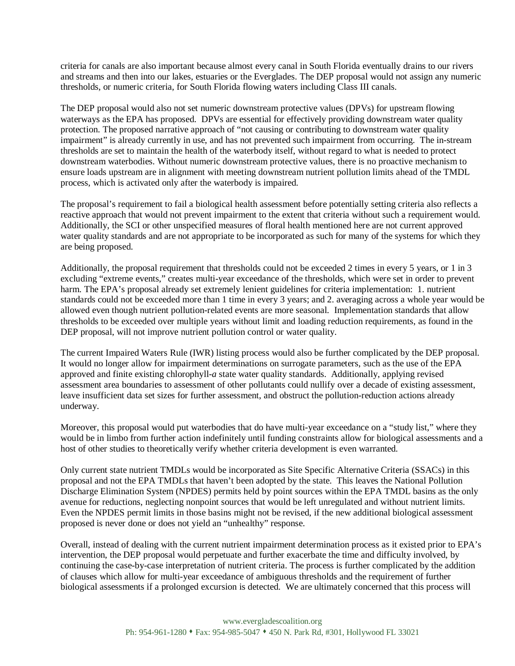criteria for canals are also important because almost every canal in South Florida eventually drains to our rivers and streams and then into our lakes, estuaries or the Everglades. The DEP proposal would not assign any numeric thresholds, or numeric criteria, for South Florida flowing waters including Class III canals.

The DEP proposal would also not set numeric downstream protective values (DPVs) for upstream flowing waterways as the EPA has proposed. DPVs are essential for effectively providing downstream water quality protection. The proposed narrative approach of "not causing or contributing to downstream water quality impairment" is already currently in use, and has not prevented such impairment from occurring. The in-stream thresholds are set to maintain the health of the waterbody itself, without regard to what is needed to protect downstream waterbodies. Without numeric downstream protective values, there is no proactive mechanism to ensure loads upstream are in alignment with meeting downstream nutrient pollution limits ahead of the TMDL process, which is activated only after the waterbody is impaired.

The proposal's requirement to fail a biological health assessment before potentially setting criteria also reflects a reactive approach that would not prevent impairment to the extent that criteria without such a requirement would. Additionally, the SCI or other unspecified measures of floral health mentioned here are not current approved water quality standards and are not appropriate to be incorporated as such for many of the systems for which they are being proposed.

Additionally, the proposal requirement that thresholds could not be exceeded 2 times in every 5 years, or 1 in 3 excluding "extreme events," creates multi-year exceedance of the thresholds, which were set in order to prevent harm. The EPA's proposal already set extremely lenient guidelines for criteria implementation: 1. nutrient standards could not be exceeded more than 1 time in every 3 years; and 2. averaging across a whole year would be allowed even though nutrient pollution-related events are more seasonal. Implementation standards that allow thresholds to be exceeded over multiple years without limit and loading reduction requirements, as found in the DEP proposal, will not improve nutrient pollution control or water quality.

The current Impaired Waters Rule (IWR) listing process would also be further complicated by the DEP proposal. It would no longer allow for impairment determinations on surrogate parameters, such as the use of the EPA approved and finite existing chlorophyll-*a* state water quality standards. Additionally, applying revised assessment area boundaries to assessment of other pollutants could nullify over a decade of existing assessment, leave insufficient data set sizes for further assessment, and obstruct the pollution-reduction actions already underway.

Moreover, this proposal would put waterbodies that do have multi-year exceedance on a "study list," where they would be in limbo from further action indefinitely until funding constraints allow for biological assessments and a host of other studies to theoretically verify whether criteria development is even warranted.

Only current state nutrient TMDLs would be incorporated as Site Specific Alternative Criteria (SSACs) in this proposal and not the EPA TMDLs that haven't been adopted by the state. This leaves the National Pollution Discharge Elimination System (NPDES) permits held by point sources within the EPA TMDL basins as the only avenue for reductions, neglecting nonpoint sources that would be left unregulated and without nutrient limits. Even the NPDES permit limits in those basins might not be revised, if the new additional biological assessment proposed is never done or does not yield an "unhealthy" response.

Overall, instead of dealing with the current nutrient impairment determination process as it existed prior to EPA's intervention, the DEP proposal would perpetuate and further exacerbate the time and difficulty involved, by continuing the case-by-case interpretation of nutrient criteria. The process is further complicated by the addition of clauses which allow for multi-year exceedance of ambiguous thresholds and the requirement of further biological assessments if a prolonged excursion is detected. We are ultimately concerned that this process will